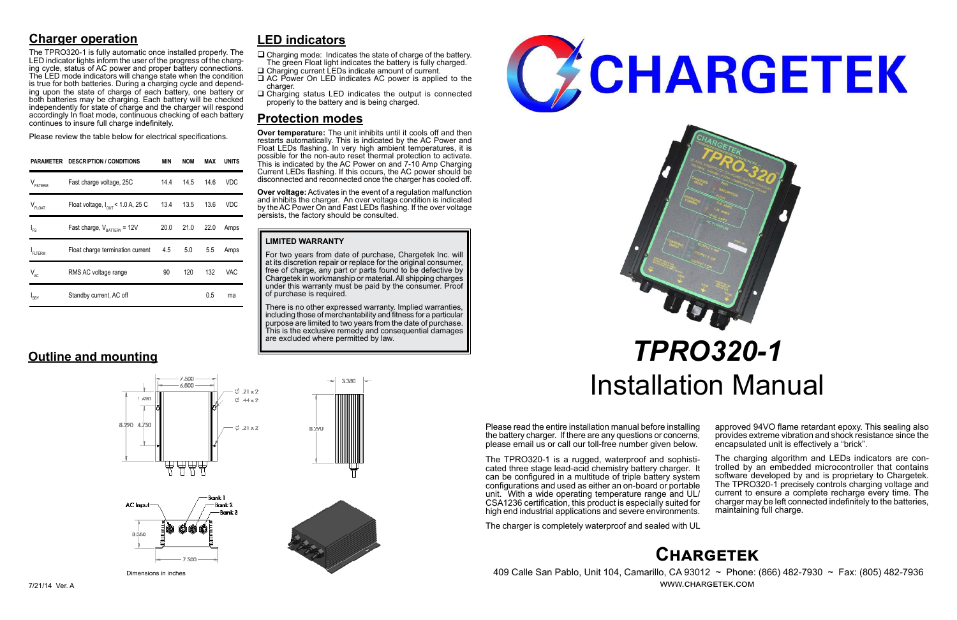## **Chargetek**

 409 Calle San Pablo, Unit 104, Camarillo, CA 93012 ~ Phone: (866) 482-7930 ~ Fax: (805) 482-7936 www.chargetek.com

## **Charger operation**

The TPRO320-1 is fully automatic once installed properly. The LED indicator lights inform the user of the progress of the charging cycle, status of AC power and proper battery connections. The LED mode indicators will change state when the condition is true for both batteries. During a charging cycle and depending upon the state of charge of each battery, one battery or both batteries may be charging. Each battery will be checked independently for state of charge and the charger will respond accordingly In float mode, continuous checking of each battery continues to insure full charge indefinitely.

Please review the table below for electrical specifications.

Please read the entire installation manual before installing the battery charger. If there are any questions or concerns, please email us or call our toll-free number given below.

The TPRO320-1 is a rugged, waterproof and sophisti- cated three stage lead-acid chemistry battery charger. It can be configured in a multitude of triple battery system configurations and used as either an on-board or portable unit. With a wide operating temperature range and UL/ CSA1236 certification, this product is especially suited for high end industrial applications and severe environments.

The charger is completely waterproof and sealed with UL

approved 94VO flame retardant epoxy. This sealing also provides extreme vibration and shock resistance since the encapsulated unit is effectively a "brick".

- $\Box$  Charging mode: Indicates the state of charge of the battery. The green Float light indicates the battery is fully charged.
- □ Charging current LEDs indicate amount of current. □ AC Power On LED indicates AC power is applied to the
- charger.
- $\Box$  Charging status LED indicates the output is connected properly to the battery and is being charged.

The charging algorithm and LEDs indicators are con- trolled by an embedded microcontroller that contains software developed by and is proprietary to Chargetek. The TPRO320-1 precisely controls charging voltage and current to ensure a complete recharge every time. The charger may be left connected indefinitely to the batteries, maintaining full charge.

# *TPRO320-1* Installation Manual

| PARAMETER           | <b>DESCRIPTION / CONDITIONS</b>               | MIN  | <b>NOM</b> | MAX  | <b>UNITS</b> |
|---------------------|-----------------------------------------------|------|------------|------|--------------|
| $V_{\text{FSTERM}}$ | Fast charge voltage, 25C                      | 14.4 | 14.5       | 14.6 | VDC          |
| $V_{FLOAT}$         | Float voltage, $I_{\text{out}}$ < 1.0 A, 25 C | 13.4 | 13.5       | 13.6 | <b>VDC</b>   |
| $I_{FS}$            | Fast charge, $V_{\text{rATTARY}}$ = 12V       | 20.0 | 21.0       | 22.0 | Amps         |
| FLTERM              | Float charge termination current              | 4.5  | 5.0        | 5.5  | Amps         |
| $V_{AC}$            | RMS AC voltage range                          | 90   | 120        | 132  | VAC          |
| 'SBY                | Standby current, AC off                       |      |            | 0.5  | ma           |

### **LIMITED WARRANTY**

For two years from date of purchase, Chargetek Inc. will at its discretion repair or replace for the original consumer, free of charge, any part or parts found to be defective by Chargetek in workmanship or material. All shipping charges under this warranty must be paid by the consumer. Proof of purchase is required.

There is no other expressed warranty. Implied warranties, including those of merchantability and fitness for a particular purpose are limited to two years from the date of purchase. This is the exclusive remedy and consequential damages are excluded where permitted by law.

3.380





## **LED indicators**

## **Protection modes**

**Over temperature:** The unit inhibits until it cools off and then restarts automatically. This is indicated by the AC Power and Float LEDs flashing. In very high ambient temperatures, it is possible for the non-auto reset thermal protection to activate. This is indicated by the AC Power on and 7-10 Amp Charging Current LEDs flashing. If this occurs, the AC power should be disconnected and reconnected once the charger has cooled off.

**Over voltage:** Activates in the event of a regulation malfunction and inhibits the charger. An over voltage condition is indicated by the AC Power On and Fast LEDs flashing. If the over voltage persists, the factory should be consulted.

## **Outline and mounting**







8.290